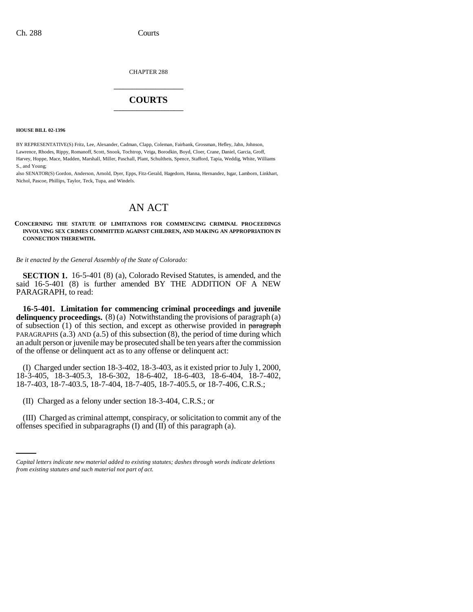CHAPTER 288 \_\_\_\_\_\_\_\_\_\_\_\_\_\_\_

## **COURTS** \_\_\_\_\_\_\_\_\_\_\_\_\_\_\_

**HOUSE BILL 02-1396**

BY REPRESENTATIVE(S) Fritz, Lee, Alexander, Cadman, Clapp, Coleman, Fairbank, Grossman, Hefley, Jahn, Johnson, Lawrence, Rhodes, Rippy, Romanoff, Scott, Snook, Tochtrop, Veiga, Borodkin, Boyd, Cloer, Crane, Daniel, Garcia, Groff, Harvey, Hoppe, Mace, Madden, Marshall, Miller, Paschall, Plant, Schultheis, Spence, Stafford, Tapia, Weddig, White, Williams S., and Young;

also SENATOR(S) Gordon, Anderson, Arnold, Dyer, Epps, Fitz-Gerald, Hagedorn, Hanna, Hernandez, Isgar, Lamborn, Linkhart, Nichol, Pascoe, Phillips, Taylor, Teck, Tupa, and Windels.

# AN ACT

### **CONCERNING THE STATUTE OF LIMITATIONS FOR COMMENCING CRIMINAL PROCEEDINGS INVOLVING SEX CRIMES COMMITTED AGAINST CHILDREN, AND MAKING AN APPROPRIATION IN CONNECTION THEREWITH.**

*Be it enacted by the General Assembly of the State of Colorado:*

**SECTION 1.** 16-5-401 (8) (a), Colorado Revised Statutes, is amended, and the said 16-5-401 (8) is further amended BY THE ADDITION OF A NEW PARAGRAPH, to read:

**16-5-401. Limitation for commencing criminal proceedings and juvenile delinquency proceedings.** (8) (a) Notwithstanding the provisions of paragraph (a) of subsection  $(1)$  of this section, and except as otherwise provided in paragraph PARAGRAPHS  $(a.3)$  AND  $(a.5)$  of this subsection  $(8)$ , the period of time during which an adult person or juvenile may be prosecuted shall be ten years after the commission of the offense or delinquent act as to any offense or delinquent act:

(I) Charged under section 18-3-402, 18-3-403, as it existed prior to July 1, 2000, 18-3-405, 18-3-405.3, 18-6-302, 18-6-402, 18-6-403, 18-6-404, 18-7-402, 18-7-403, 18-7-403.5, 18-7-404, 18-7-405, 18-7-405.5, or 18-7-406, C.R.S.;

(II) Charged as a felony under section 18-3-404, C.R.S.; or

(III) Charged as criminal attempt, conspiracy, or solicitation to commit any of the offenses specified in subparagraphs (I) and (II) of this paragraph (a).

*Capital letters indicate new material added to existing statutes; dashes through words indicate deletions from existing statutes and such material not part of act.*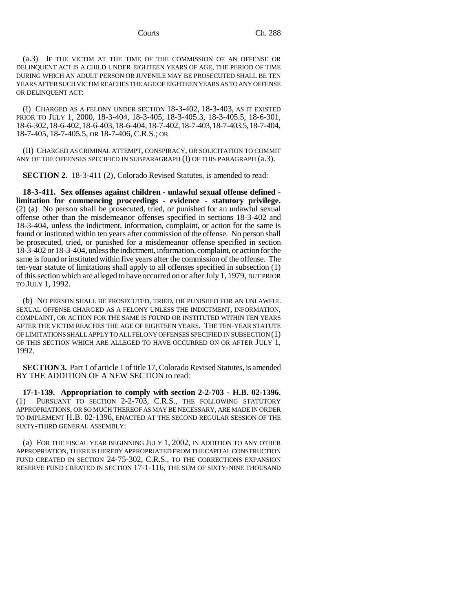(a.3) IF THE VICTIM AT THE TIME OF THE COMMISSION OF AN OFFENSE OR DELINQUENT ACT IS A CHILD UNDER EIGHTEEN YEARS OF AGE, THE PERIOD OF TIME DURING WHICH AN ADULT PERSON OR JUVENILE MAY BE PROSECUTED SHALL BE TEN YEARS AFTER SUCH VICTIM REACHES THE AGE OF EIGHTEEN YEARS AS TO ANY OFFENSE OR DELINQUENT ACT:

(I) CHARGED AS A FELONY UNDER SECTION 18-3-402, 18-3-403, AS IT EXISTED PRIOR TO JULY 1, 2000, 18-3-404, 18-3-405, 18-3-405.3, 18-3-405.5, 18-6-301, 18-6-302,18-6-402,18-6-403,18-6-404,18-7-402,18-7-403,18-7-403.5,18-7-404, 18-7-405, 18-7-405.5, OR 18-7-406, C.R.S.; OR

(II) CHARGED AS CRIMINAL ATTEMPT, CONSPIRACY, OR SOLICITATION TO COMMIT ANY OF THE OFFENSES SPECIFIED IN SUBPARAGRAPH  $(I)$  OF THIS PARAGRAPH  $(a.3)$ .

**SECTION 2.** 18-3-411 (2), Colorado Revised Statutes, is amended to read:

**18-3-411. Sex offenses against children - unlawful sexual offense defined limitation for commencing proceedings - evidence - statutory privilege.** (2) (a) No person shall be prosecuted, tried, or punished for an unlawful sexual offense other than the misdemeanor offenses specified in sections 18-3-402 and 18-3-404, unless the indictment, information, complaint, or action for the same is found or instituted within ten years after commission of the offense. No person shall be prosecuted, tried, or punished for a misdemeanor offense specified in section 18-3-402 or 18-3-404, unless the indictment, information, complaint, or action for the same is found or instituted within five years after the commission of the offense. The ten-year statute of limitations shall apply to all offenses specified in subsection (1) of this section which are alleged to have occurred on or after July 1, 1979, BUT PRIOR TO JULY 1, 1992.

(b) NO PERSON SHALL BE PROSECUTED, TRIED, OR PUNISHED FOR AN UNLAWFUL SEXUAL OFFENSE CHARGED AS A FELONY UNLESS THE INDICTMENT, INFORMATION, COMPLAINT, OR ACTION FOR THE SAME IS FOUND OR INSTITUTED WITHIN TEN YEARS AFTER THE VICTIM REACHES THE AGE OF EIGHTEEN YEARS. THE TEN-YEAR STATUTE OF LIMITATIONS SHALL APPLY TO ALL FELONY OFFENSES SPECIFIED IN SUBSECTION (1) OF THIS SECTION WHICH ARE ALLEGED TO HAVE OCCURRED ON OR AFTER JULY 1, 1992.

**SECTION 3.** Part 1 of article 1 of title 17, Colorado Revised Statutes, is amended BY THE ADDITION OF A NEW SECTION to read:

**17-1-139. Appropriation to comply with section 2-2-703 - H.B. 02-1396.** (1) PURSUANT TO SECTION 2-2-703, C.R.S., THE FOLLOWING STATUTORY APPROPRIATIONS, OR SO MUCH THEREOF AS MAY BE NECESSARY, ARE MADE IN ORDER TO IMPLEMENT H.B. 02-1396, ENACTED AT THE SECOND REGULAR SESSION OF THE SIXTY-THIRD GENERAL ASSEMBLY:

(a) FOR THE FISCAL YEAR BEGINNING JULY 1, 2002, IN ADDITION TO ANY OTHER APPROPRIATION, THERE IS HEREBY APPROPRIATED FROM THE CAPITAL CONSTRUCTION FUND CREATED IN SECTION 24-75-302, C.R.S., TO THE CORRECTIONS EXPANSION RESERVE FUND CREATED IN SECTION 17-1-116, THE SUM OF SIXTY-NINE THOUSAND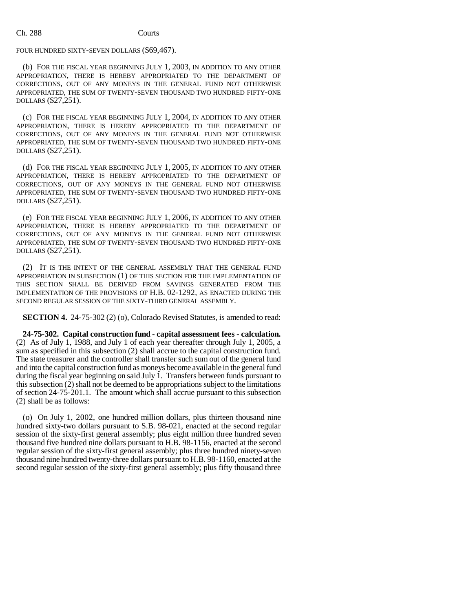### FOUR HUNDRED SIXTY-SEVEN DOLLARS (\$69,467).

(b) FOR THE FISCAL YEAR BEGINNING JULY 1, 2003, IN ADDITION TO ANY OTHER APPROPRIATION, THERE IS HEREBY APPROPRIATED TO THE DEPARTMENT OF CORRECTIONS, OUT OF ANY MONEYS IN THE GENERAL FUND NOT OTHERWISE APPROPRIATED, THE SUM OF TWENTY-SEVEN THOUSAND TWO HUNDRED FIFTY-ONE DOLLARS (\$27,251).

(c) FOR THE FISCAL YEAR BEGINNING JULY 1, 2004, IN ADDITION TO ANY OTHER APPROPRIATION, THERE IS HEREBY APPROPRIATED TO THE DEPARTMENT OF CORRECTIONS, OUT OF ANY MONEYS IN THE GENERAL FUND NOT OTHERWISE APPROPRIATED, THE SUM OF TWENTY-SEVEN THOUSAND TWO HUNDRED FIFTY-ONE DOLLARS (\$27,251).

(d) FOR THE FISCAL YEAR BEGINNING JULY 1, 2005, IN ADDITION TO ANY OTHER APPROPRIATION, THERE IS HEREBY APPROPRIATED TO THE DEPARTMENT OF CORRECTIONS, OUT OF ANY MONEYS IN THE GENERAL FUND NOT OTHERWISE APPROPRIATED, THE SUM OF TWENTY-SEVEN THOUSAND TWO HUNDRED FIFTY-ONE DOLLARS (\$27,251).

(e) FOR THE FISCAL YEAR BEGINNING JULY 1, 2006, IN ADDITION TO ANY OTHER APPROPRIATION, THERE IS HEREBY APPROPRIATED TO THE DEPARTMENT OF CORRECTIONS, OUT OF ANY MONEYS IN THE GENERAL FUND NOT OTHERWISE APPROPRIATED, THE SUM OF TWENTY-SEVEN THOUSAND TWO HUNDRED FIFTY-ONE DOLLARS (\$27,251).

(2) IT IS THE INTENT OF THE GENERAL ASSEMBLY THAT THE GENERAL FUND APPROPRIATION IN SUBSECTION (1) OF THIS SECTION FOR THE IMPLEMENTATION OF THIS SECTION SHALL BE DERIVED FROM SAVINGS GENERATED FROM THE IMPLEMENTATION OF THE PROVISIONS OF H.B. 02-1292, AS ENACTED DURING THE SECOND REGULAR SESSION OF THE SIXTY-THIRD GENERAL ASSEMBLY.

**SECTION 4.** 24-75-302 (2) (o), Colorado Revised Statutes, is amended to read:

**24-75-302. Capital construction fund - capital assessment fees - calculation.** (2) As of July 1, 1988, and July 1 of each year thereafter through July 1, 2005, a sum as specified in this subsection (2) shall accrue to the capital construction fund. The state treasurer and the controller shall transfer such sum out of the general fund and into the capital construction fund as moneys become available in the general fund during the fiscal year beginning on said July 1. Transfers between funds pursuant to this subsection (2) shall not be deemed to be appropriations subject to the limitations of section 24-75-201.1. The amount which shall accrue pursuant to this subsection (2) shall be as follows:

(o) On July 1, 2002, one hundred million dollars, plus thirteen thousand nine hundred sixty-two dollars pursuant to S.B. 98-021, enacted at the second regular session of the sixty-first general assembly; plus eight million three hundred seven thousand five hundred nine dollars pursuant to H.B. 98-1156, enacted at the second regular session of the sixty-first general assembly; plus three hundred ninety-seven thousand nine hundred twenty-three dollars pursuant to H.B. 98-1160, enacted at the second regular session of the sixty-first general assembly; plus fifty thousand three